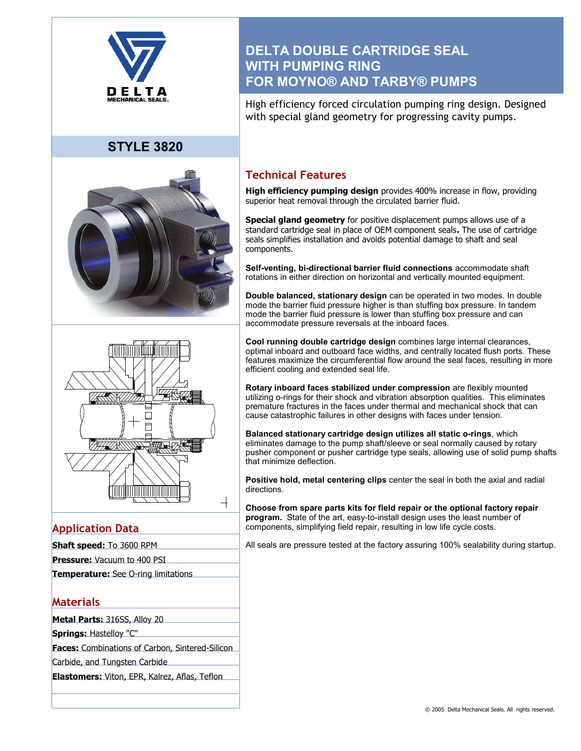

# **STYLE 3820**





## **Application Data**

- **Shaft speed:** To 3600 RPM
- **Pressure:** Vacuum to 400 PSI
- **Temperature:** See O-ring limitations

## **Materials**

**Metal Parts:** 316SS, Alloy 20

**Springs:** Hastelloy "C"

**Faces:** Combinations of Carbon, Sintered-Silicon

Carbide, and Tungsten Carbide

**Elastomers:** Viton, EPR, Kalrez, Aflas, Teflon

# **DELTA DOUBLE CARTRIDGE SEAL WITH PUMPING RING FOR MOYNO® AND TARBY® PUMPS**

High efficiency forced circulation pumping ring design. Designed with special gland geometry for progressing cavity pumps.

## **Technical Features**

**High efficiency pumping design** provides 400% increase in flow, providing superior heat removal through the circulated barrier fluid.

**Special gland geometry** for positive displacement pumps allows use of a standard cartridge seal in place of OEM component seals**.** The use of cartridge seals simplifies installation and avoids potential damage to shaft and seal components.

**Self-venting, bi-directional barrier fluid connections** accommodate shaft rotations in either direction on horizontal and vertically mounted equipment.

**Double balanced, stationary design** can be operated in two modes. In double mode the barrier fluid pressure higher is than stuffing box pressure. In tandem mode the barrier fluid pressure is lower than stuffing box pressure and can accommodate pressure reversals at the inboard faces.

**Cool running double cartridge design** combines large internal clearances, optimal inboard and outboard face widths, and centrally located flush ports. These features maximize the circumferential flow around the seal faces, resulting in more efficient cooling and extended seal life.

**Rotary inboard faces stabilized under compression** are flexibly mounted utilizing o-rings for their shock and vibration absorption qualities. This eliminates premature fractures in the faces under thermal and mechanical shock that can cause catastrophic failures in other designs with faces under tension.

**Balanced stationary cartridge design utilizes all static o-rings**, which eliminates damage to the pump shaft/sleeve or seal normally caused by rotary pusher component or pusher cartridge type seals, allowing use of solid pump shafts that minimize deflection.

**Positive hold, metal centering clips** center the seal in both the axial and radial directions.

**Choose from spare parts kits for field repair or the optional factory repair program.** State of the art, easy-to-install design uses the least number of components, simplifying field repair, resulting in low life cycle costs.

All seals are pressure tested at the factory assuring 100% sealability during startup.